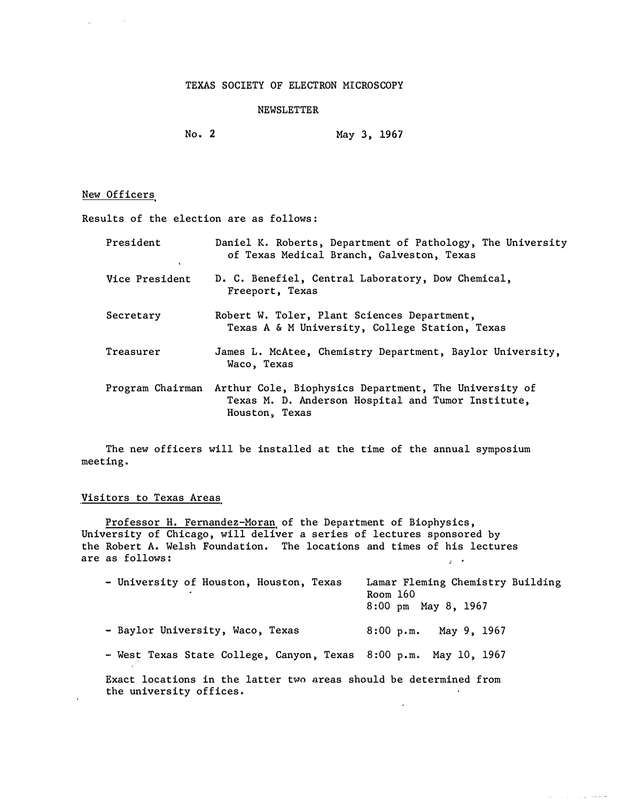## TEXAS SOCIETY OF ELECTRON MICROSCOPY

## NEWSLETTER

No. 2 May 3, 1967

# New Officers

 $\mathbf{q}_{\mathcal{A}}$  , and  $\mathbf{q}_{\mathcal{A}}$  , and  $\mathcal{A}$ 

Results of the election are as follows:

| President        | Daniel K. Roberts, Department of Pathology, The University<br>of Texas Medical Branch, Galveston, Texas                       |
|------------------|-------------------------------------------------------------------------------------------------------------------------------|
| Vice President   | D. C. Benefiel, Central Laboratory, Dow Chemical,<br>Freeport, Texas                                                          |
| Secretary        | Robert W. Toler, Plant Sciences Department,<br>Texas A & M University, College Station, Texas                                 |
| Treasurer        | James L. McAtee, Chemistry Department, Baylor University,<br>Waco, Texas                                                      |
| Program Chairman | Arthur Cole, Biophysics Department, The University of<br>Texas M. D. Anderson Hospital and Tumor Institute,<br>Houston, Texas |

The new officers will be installed at the time of the annual symposium meeting.

# Visitors to Texas Areas

<u>Professor H. Fernandez-Moran</u> of the Department of Biophysics**,** University of Chicago, will deliver a series of lectures sponsored by the Robert A. Welsh Foundation. The locations and times of his lectures are as follows:  $\omega_{\rm c}$  ,  $\omega_{\rm c}$ 

| - University of Houston, Houston, Texas                                                      | Lamar Fleming Chemistry Building<br>Room $160$<br>8:00 pm May 8, 1967 |
|----------------------------------------------------------------------------------------------|-----------------------------------------------------------------------|
| - Baylor University, Waco, Texas                                                             | May 9, 1967<br>$8:00$ p.m.                                            |
| - West Texas State College, Canyon, Texas 8:00 p.m. May 10, 1967                             |                                                                       |
| Exact locations in the latter two areas should be determined from<br>the university offices. |                                                                       |

 $\mathcal{L}^{\mathcal{L}}$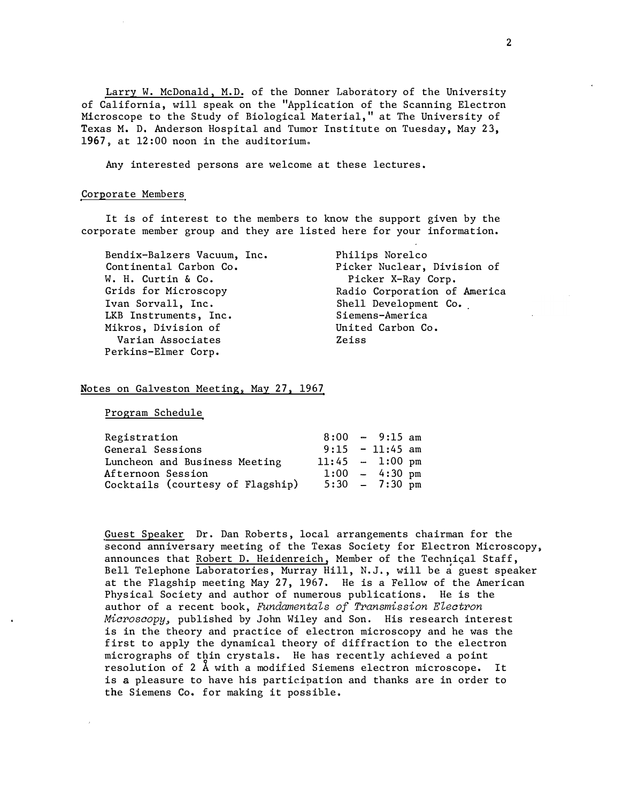Larry W. McDonald, M.D. of the Donner Laboratory of the University of California, will speak on the "Application of the Scanning Electron Microscope to the Study of Biological Material," at The University of Texas M. D. Anderson Hospital and Tumor Institute on Tuesday, May 23, 1967, at 12:00 noon in the auditorium.

Any interested persons are welcome at these lectures.

#### Corporate Members

It is of interest to the members to know the support given by the corporate member group and they are listed here for your information.

Bendix-Balzers Vacuum, Inc. Continental Carbon Co. W. H. Curtin & Co. Grids for Microscopy Ivan Sorvall, Inc. LKB Instruments, Inc. Mikros, Division of Varian Associates Perkins-Elmer Corp.

Philips Norelco Picker Nuclear, Division of Picker X-Ray Corp. Radio Corporation of America Shell Development Co. Siemens-America United Carbon Co. Zeiss

### Notes on Galveston Meeting, May 27, 1967

Program Schedule

| Registration                     |                   | $8:00 - 9:15$ am         |  |
|----------------------------------|-------------------|--------------------------|--|
| General Sessions                 |                   | $9:15 - 11:45$ am        |  |
| Luncheon and Business Meeting    | $11:45 - 1:00$ pm |                          |  |
| Afternoon Session                |                   | $1:00 - 4:30 \text{ pm}$ |  |
| Cocktails (courtesy of Flagship) |                   | $5:30 - 7:30 \text{ pm}$ |  |
|                                  |                   |                          |  |

Guest Speaker Dr. Dan Roberts, local arrangements chairman for the second anniversary meeting of the Texas Society for Electron Microscopy, announces that Robert D. Heidenreich, Member of the Technical Staff, Bell Telephone Laboratories, Murray Hill, N.J., will be a guest speaker at the Flagship meeting May 27, 1967. He is a Fellow of the American Physical Society and author of numerous publications. He is the author of a recent book, *Fundamentals of Transmission Electron Miorosoopy,* published by John Wiley and Son. His research interest is in the theory and practice of electron microscopy and he was the first to apply the dynamical theory of diffraction to the electron micrographs of thin crystals. He has recently achieved a point resolution of 2 A with a modified Siemens electron microscope. It is a pleasure to have his participation and thanks are in order to the Siemens Co. for making it possible.